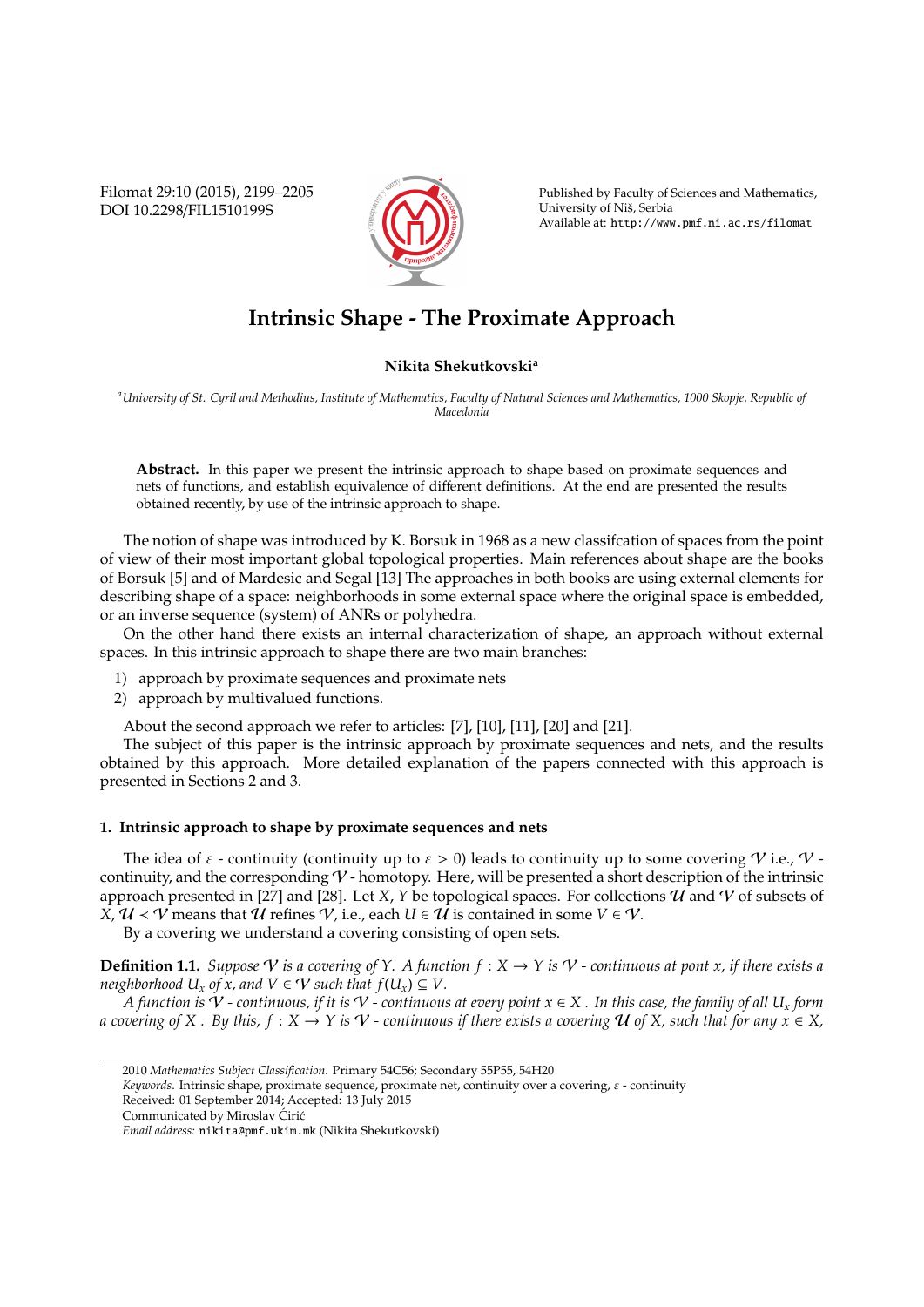Filomat 29:10 (2015), 2199–2205 DOI 10.2298/FIL1510199S



Published by Faculty of Sciences and Mathematics, University of Niš, Serbia Available at: http://www.pmf.ni.ac.rs/filomat

# **Intrinsic Shape - The Proximate Approach**

# **Nikita Shekutkovski<sup>a</sup>**

*<sup>a</sup>University of St. Cyril and Methodius, Institute of Mathematics, Faculty of Natural Sciences and Mathematics, 1000 Skopje, Republic of Macedonia*

Abstract. In this paper we present the intrinsic approach to shape based on proximate sequences and nets of functions, and establish equivalence of different definitions. At the end are presented the results obtained recently, by use of the intrinsic approach to shape.

The notion of shape was introduced by K. Borsuk in 1968 as a new classifcation of spaces from the point of view of their most important global topological properties. Main references about shape are the books of Borsuk [5] and of Mardesic and Segal [13] The approaches in both books are using external elements for describing shape of a space: neighborhoods in some external space where the original space is embedded, or an inverse sequence (system) of ANRs or polyhedra.

On the other hand there exists an internal characterization of shape, an approach without external spaces. In this intrinsic approach to shape there are two main branches:

- 1) approach by proximate sequences and proximate nets
- 2) approach by multivalued functions.

About the second approach we refer to articles: [7], [10], [11], [20] and [21].

The subject of this paper is the intrinsic approach by proximate sequences and nets, and the results obtained by this approach. More detailed explanation of the papers connected with this approach is presented in Sections 2 and 3.

### **1. Intrinsic approach to shape by proximate sequences and nets**

The idea of  $\varepsilon$  - continuity (continuity up to  $\varepsilon > 0$ ) leads to continuity up to some covering V i.e., V continuity, and the corresponding  $V$  - homotopy. Here, will be presented a short description of the intrinsic approach presented in [27] and [28]. Let *X*, *Y* be topological spaces. For collections  $\hat{U}$  and  $\hat{V}$  of subsets of  $\overline{X}$ ,  $\mathcal{U}$  <  $\mathcal{V}$  means that  $\mathcal{U}$  refines  $\mathcal{V}$ , i.e., each  $U \in \mathcal{U}$  is contained in some  $V \in \mathcal{V}$ .

By a covering we understand a covering consisting of open sets.

**Definition 1.1.** *Suppose* V *is a covering of Y. A function*  $f: X \to Y$  *is*  $V$  *- continuous at pont x, if there exists a neighborhood*  $U_x$  *of x, and*  $V \in V$  *such that*  $f(U_x) \subseteq V$ .

*A* function is  $V$  - continuous, if it is  $V$  - continuous at every point  $x \in X$  . In this case, the family of all  $U_x$  form *a covering of X . By this, f* :  $X \to Y$  *is*  $V$  *- continuous if there exists a covering*  $U$  *of X, such that for any*  $x \in X$ ,

<sup>2010</sup> *Mathematics Subject Classification*. Primary 54C56; Secondary 55P55, 54H20

*Keywords*. Intrinsic shape, proximate sequence, proximate net, continuity over a covering, ε - continuity

Received: 01 September 2014; Accepted: 13 July 2015

Communicated by Miroslav Ćirić

*Email address:* nikita@pmf.ukim.mk (Nikita Shekutkovski)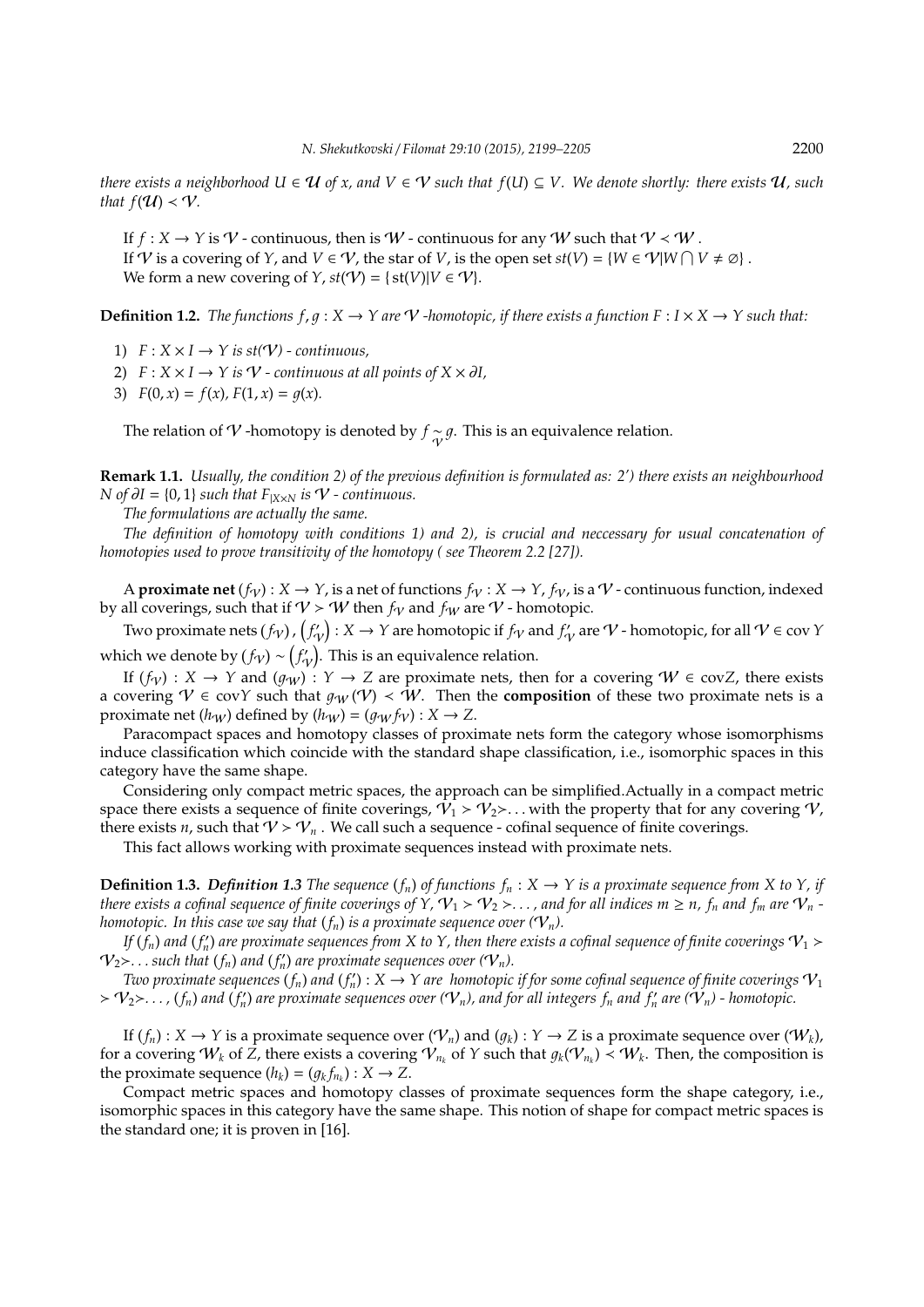*there exists a neighborhood*  $U \in \mathcal{U}$  *of x, and*  $V \in \mathcal{V}$  *such that*  $f(U) \subseteq V$ . We denote shortly: there exists  $\mathcal{U}$ *, such that*  $f(U) < V$ *.* 

If  $f: X \to Y$  is  $\mathcal V$  - continuous, then is  $W$  - continuous for any W such that  $V \prec W$ . If *V* is a covering of *Y*, and *V*  $\in$  *V*, the star of *V*, is the open set  $st(V) = \{W \in \mathcal{V} | W \cap V \neq \emptyset\}$ . We form a new covering of *Y*,  $st(V) = \{ st(V) | V \in V \}.$ 

**Definition 1.2.** *The functions f, q :*  $X \to Y$  *are*  $V$  *-homotopic, if there exists a function F :*  $I \times X \to Y$  *such that:* 

- 1)  $F: X \times I \rightarrow Y$  is  $st(V)$  continuous,
- 2)  $F: X \times I \rightarrow Y$  *is*  $V$   *continuous at all points of*  $X \times \partial I$ ,
- 3)  $F(0, x) = f(x)$ ,  $F(1, x) = g(x)$ .

The relation of  $\mathcal V$  -homotopy is denoted by  $f \sim \mathcal g$ . This is an equivalence relation.

**Remark 1.1.** *Usually, the condition 2) of the previous definition is formulated as: 2') there exists an neighbourhood N* of  $\partial I = \{0, 1\}$  *such that*  $F_{|X \times N}$  *is*  $V$  *- continuous.* 

*The formulations are actually the same.*

*The definition of homotopy with conditions 1) and 2), is crucial and neccessary for usual concatenation of homotopies used to prove transitivity of the homotopy ( see Theorem 2.2 [27]).*

A **proximate net**  $(f_V): X \to Y$ , is a net of functions  $f_V: X \to Y$ ,  $f_V$ , is a  $V$ -continuous function, indexed by all coverings, such that if  $V > W$  then  $f_V$  and  $f_W$  are  $V$  - homotopic.

Two proximate nets  $(f_{\cal V})$  ,  $\big(f'_{\cal V})$  :  $X\to Y$  are homotopic if  $f_{\cal V}$  and  $f'_{\cal V}$  are  ${\cal V}$  - homotopic, for all  ${\cal V}\in$  cov  $Y$ which we denote by  $(f_{\mathcal{V}}) \sim (f'_{\mathcal{V}})$ . This is an equivalence relation.

If  $(f_V)$  :  $X \to Y$  and  $(g_W)$  :  $Y \to Z$  are proximate nets, then for a covering  $W \in covZ$ , there exists a covering  $V \in covY$  such that  $g_W(V) \prec W$ . Then the **composition** of these two proximate nets is a proximate net  $(h_W)$  defined by  $(h_W) = (g_W f_V) : X \to Z$ .

Paracompact spaces and homotopy classes of proximate nets form the category whose isomorphisms induce classification which coincide with the standard shape classification, i.e., isomorphic spaces in this category have the same shape.

Considering only compact metric spaces, the approach can be simplified.Actually in a compact metric space there exists a sequence of finite coverings,  $V_1 > V_2 > ...$  with the property that for any covering  $V$ , there exists *n*, such that  $V > V_n$ . We call such a sequence - cofinal sequence of finite coverings.

This fact allows working with proximate sequences instead with proximate nets.

**Definition 1.3.** *Definition 1.3 The sequence*  $(f_n)$  *of functions*  $f_n : X \to Y$  *is a proximate sequence from* X *to*  $Y$ *, if there exists a cofinal sequence of finite coverings of Y,*  $V_1 > V_2 > ...$ *, and for all indices*  $m \ge n$ *,*  $f_n$  *and*  $f_m$  *are*  $V_n$  *homotopic. In this case we say that*  $(f_n)$  *is a proximate sequence over*  $(\mathcal{V}_n)$ *.* 

*If*  $(f_n)$  *and*  $(f'_n)$  *are proximate sequences from X to Y, then there exists a cofinal sequence of finite coverings*  $\mathcal{V}_1$  $>$  $\mathcal{V}_2$   $>$ ... such that  $(f_n)$  and  $(f'_n)$  are proximate sequences over  $(\mathcal{V}_n)$ .

*Two proximate sequences*  $(f_n)$  *and*  $(f'_n)$  :  $X \to Y$  are homotopic if for some cofinal sequence of finite coverings  $\mathcal{V}_1$  $V_1>V_2$ ,  $\ldots$ ,  $(f_n)$  and  $(f'_n)$  are proximate sequences over  $(V_n)$ , and for all integers  $f_n$  and  $f'_n$  are  $(V_n)$  - homotopic.

If  $(f_n): X \to Y$  is a proximate sequence over  $(\mathcal{V}_n)$  and  $(g_k): Y \to Z$  is a proximate sequence over  $(\mathcal{W}_k)$ , for a covering  $W_k$  of  $\tilde{Z}$ , there exists a covering  $\mathcal{V}_{n_k}$  of  $Y$  such that  $g_k(\mathcal{V}_{n_k}) \prec W_k$ . Then, the composition is the proximate sequence  $(h_k) = (g_k f_{n_k}) : X \to Z$ .

Compact metric spaces and homotopy classes of proximate sequences form the shape category, i.e., isomorphic spaces in this category have the same shape. This notion of shape for compact metric spaces is the standard one; it is proven in [16].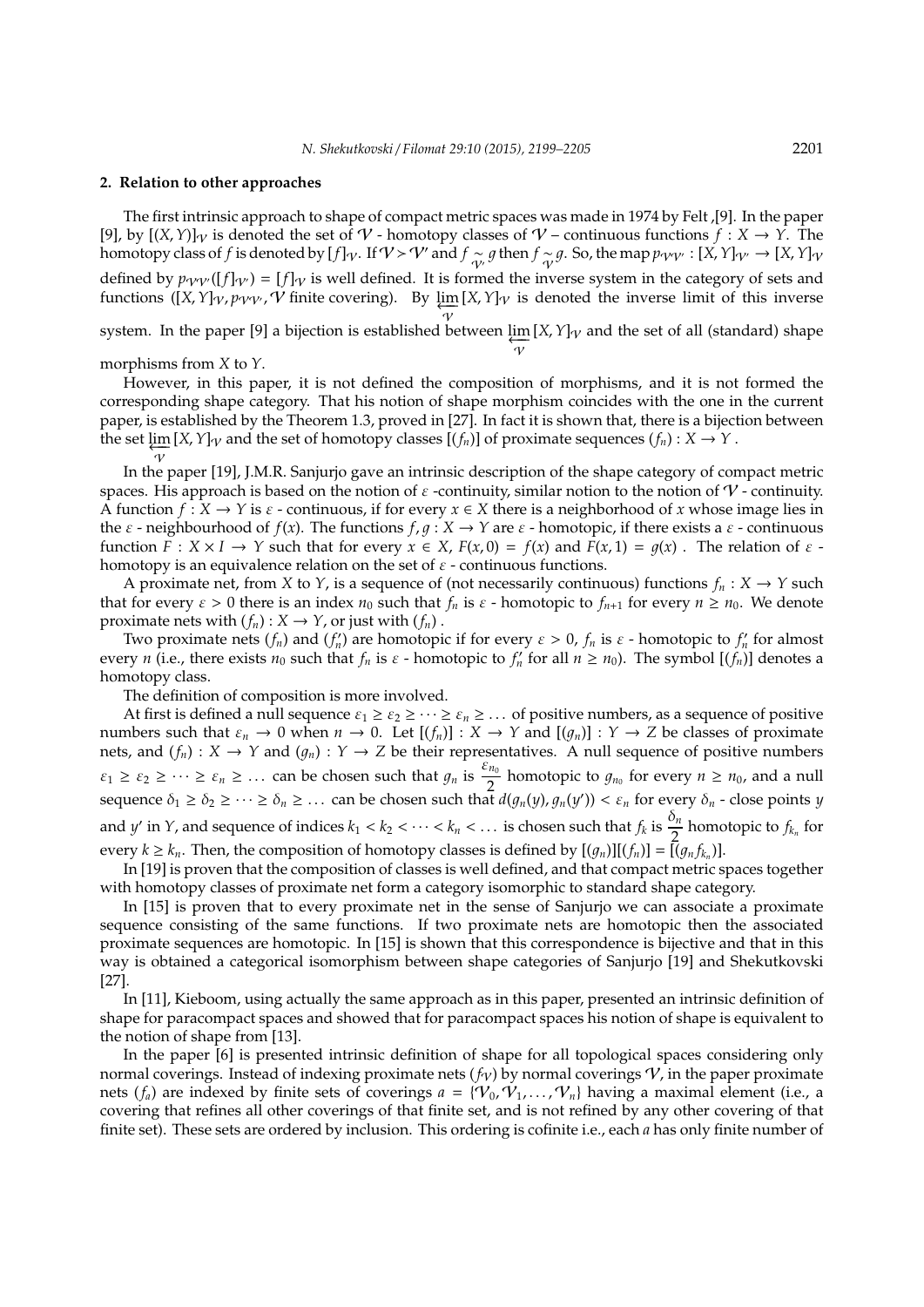#### **2. Relation to other approaches**

The first intrinsic approach to shape of compact metric spaces was made in 1974 by Felt ,[9]. In the paper [9], by  $[(X, Y)]_{\mathcal{V}}$  is denoted the set of  $\mathcal{V}$  - homotopy classes of  $\mathcal{V}$  – continuous functions  $f : X \to Y$ . The homotopy class of *f* is denoted by  $[f]_{\mathcal{V}}$ . If  $\mathcal{V} > \mathcal{V}'$  and  $f \sim_{\mathcal{V}'} g$  then  $f \sim_{\mathcal{V}} g$ . So, the map  $p_{\mathcal{V}'\mathcal{V}'} : [X, Y]_{\mathcal{V}'} \to [X, Y]_{\mathcal{V}}$ defined by  $p_{VV}(f|\psi) = [f]\psi$  is well defined. It is formed the inverse system in the category of sets and functions ([*X*, *Y*]<sub>V</sub>, *p*<sub>VV'</sub>,  $\hat{V}$  finite covering). By  $\underline{\lim}_{x \to \infty} [X, Y]$ <sub>V</sub> is denoted the inverse limit of this inverse  $\gamma$ 

system. In the paper [9] a bijection is established between  $\varprojlim_{\mathcal{V}}$  $[X, Y]_{\mathcal{V}}$  and the set of all (standard) shape

morphisms from *X* to *Y*.

However, in this paper, it is not defined the composition of morphisms, and it is not formed the corresponding shape category. That his notion of shape morphism coincides with the one in the current paper, is established by the Theorem 1.3, proved in [27]. In fact it is shown that, there is a bijection between the set  $\varprojlim [X, Y]_{\mathcal{V}}$  and the set of homotopy classes  $[(f_n)]$  of proximate sequences  $(f_n) : X \to Y$ .  $\overline{\nu}$ 

In the paper [19], J.M.R. Sanjurjo gave an intrinsic description of the shape category of compact metric spaces. His approach is based on the notion of  $\varepsilon$  -continuity, similar notion to the notion of  $\mathcal V$ -continuity. A function  $f : X \to Y$  is  $\varepsilon$  - continuous, if for every  $x \in X$  there is a neighborhood of *x* whose image lies in the  $\varepsilon$  - neighbourhood of  $f(x)$ . The functions  $f, g: X \to Y$  are  $\varepsilon$  - homotopic, if there exists a  $\varepsilon$  - continuous function  $F: X \times I \to Y$  such that for every  $x \in X$ ,  $F(x, 0) = f(x)$  and  $F(x, 1) = g(x)$ . The relation of  $\varepsilon$ homotopy is an equivalence relation on the set of  $\varepsilon$  - continuous functions.

A proximate net, from *X* to *Y*, is a sequence of (not necessarily continuous) functions  $f_n : X \to Y$  such that for every  $\varepsilon > 0$  there is an index  $n_0$  such that  $f_n$  is  $\varepsilon$  - homotopic to  $f_{n+1}$  for every  $n \ge n_0$ . We denote proximate nets with  $(f_n): X \to Y$ , or just with  $(f_n)$ .

Two proximate nets  $(f_n)$  and  $(f'_n)$  are homotopic if for every  $\varepsilon > 0$ ,  $f_n$  is  $\varepsilon$  - homotopic to  $f'_n$  for almost every *n* (i.e., there exists  $n_0$  such that  $f_n$  is  $\varepsilon$  - homotopic to  $f'_n$  for all  $n \ge n_0$ ). The symbol  $[(f'_n)]$  denotes a homotopy class.

The definition of composition is more involved.

At first is defined a null sequence  $\varepsilon_1 \geq \varepsilon_2 \geq \cdots \geq \varepsilon_n \geq \cdots$  of positive numbers, as a sequence of positive numbers such that  $\varepsilon_n \to 0$  when  $n \to 0$ . Let  $[(f_n)] : X \to Y$  and  $[(g_n)] : Y \to Z$  be classes of proximate nets, and  $(f_n)$  :  $X \to Y$  and  $(g_n)$  :  $Y \to Z$  be their representatives. A null sequence of positive numbers  $\varepsilon_1 \geq \varepsilon_2 \geq \cdots \geq \varepsilon_n \geq \ldots$  can be chosen such that  $g_n$  is  $\frac{\varepsilon_{n_0}}{2}$  homotopic to  $g_{n_0}$  for every  $n \geq n_0$ , and a null  $\sum_{i=1}^{n} a_i = a_i = a_i$   $\sum_{i=1}^{n} a_i = a_i$   $\sum_{i=1}^{n} a_i = a_i$   $\sum_{i=1}^{n} a_i = a_i$   $\sum_{i=1}^{n} a_i = a_i$   $\sum_{i=1}^{n} a_i = a_i$   $\sum_{i=1}^{n} a_i = a_i$   $\sum_{i=1}^{n} a_i = a_i$   $\sum_{i=1}^{n} a_i = a_i$   $\sum_{i=1}^{n} a_i = a_i$   $\sum_{i=1}^{n} a_i = a_i$   $\sum_{i=1}^{n} a_i = a_i$   $\$ and *y'* in *Y*, and sequence of indices  $k_1 < k_2 < \cdots < k_n < \ldots$  is chosen such that  $f_k$  is  $\frac{\delta_n}{2}$  homotopic to  $f_{k_n}$  for every  $k \geq k_n$ . Then, the composition of homotopy classes is defined by  $[(g_n)][(f_n)] = [(g_n f_{k_n})]$ .

In [19] is proven that the composition of classes is well defined, and that compact metric spaces together with homotopy classes of proximate net form a category isomorphic to standard shape category.

In [15] is proven that to every proximate net in the sense of Sanjurjo we can associate a proximate sequence consisting of the same functions. If two proximate nets are homotopic then the associated proximate sequences are homotopic. In [15] is shown that this correspondence is bijective and that in this way is obtained a categorical isomorphism between shape categories of Sanjurjo [19] and Shekutkovski [27].

In [11], Kieboom, using actually the same approach as in this paper, presented an intrinsic definition of shape for paracompact spaces and showed that for paracompact spaces his notion of shape is equivalent to the notion of shape from [13].

In the paper [6] is presented intrinsic definition of shape for all topological spaces considering only normal coverings. Instead of indexing proximate nets  $(f_V)$  by normal coverings  $V$ , in the paper proximate nets ( $f_a$ ) are indexed by finite sets of coverings  $a = \{V_0, V_1, \ldots, V_n\}$  having a maximal element (i.e., a covering that refines all other coverings of that finite set, and is not refined by any other covering of that finite set). These sets are ordered by inclusion. This ordering is cofinite i.e., each *a* has only finite number of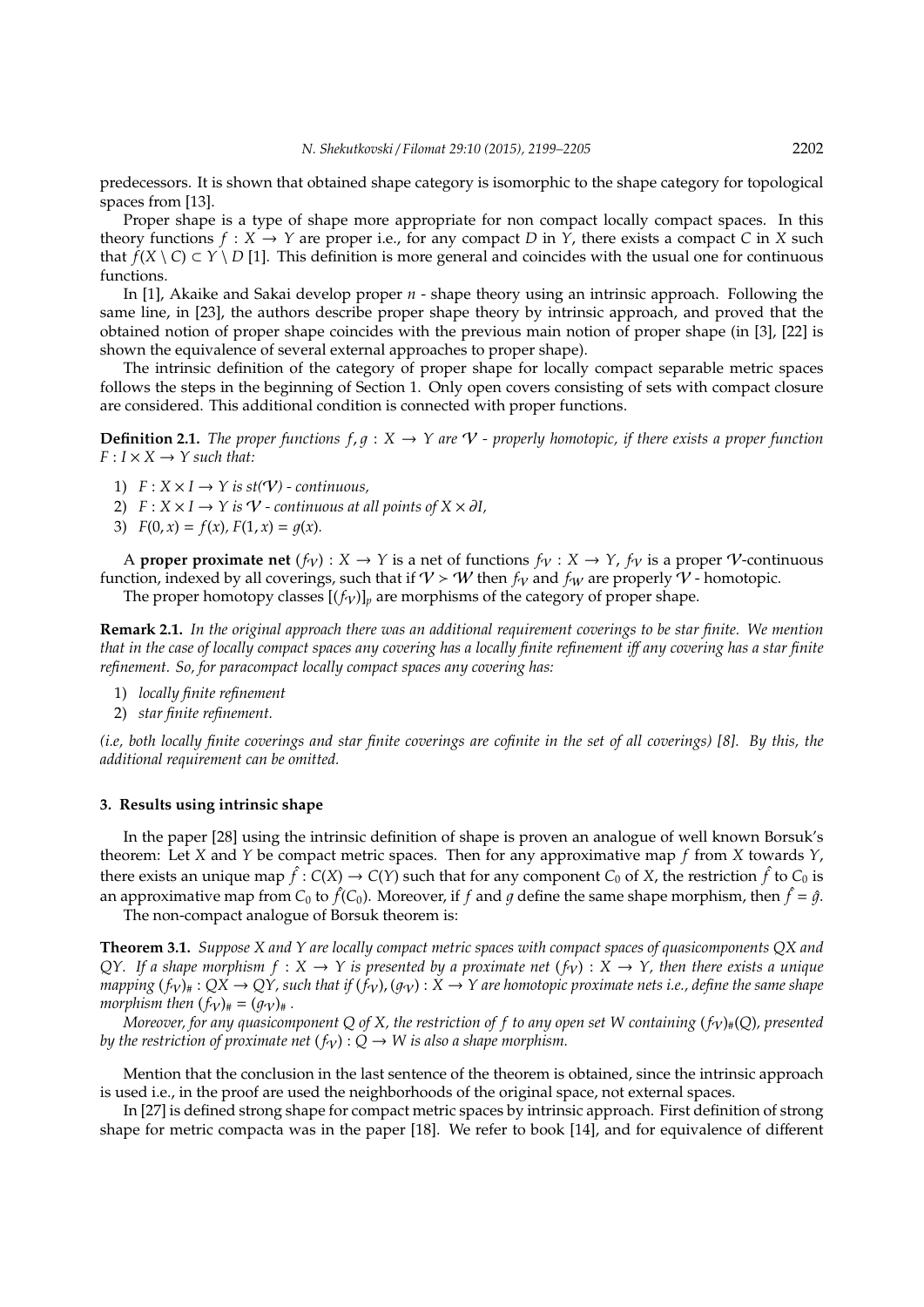predecessors. It is shown that obtained shape category is isomorphic to the shape category for topological spaces from [13].

Proper shape is a type of shape more appropriate for non compact locally compact spaces. In this theory functions  $f: X \to Y$  are proper i.e., for any compact *D* in *Y*, there exists a compact *C* in *X* such that  $f(X \setminus C) \subset Y \setminus D$  [1]. This definition is more general and coincides with the usual one for continuous functions.

In [1], Akaike and Sakai develop proper *n* - shape theory using an intrinsic approach. Following the same line, in [23], the authors describe proper shape theory by intrinsic approach, and proved that the obtained notion of proper shape coincides with the previous main notion of proper shape (in [3], [22] is shown the equivalence of several external approaches to proper shape).

The intrinsic definition of the category of proper shape for locally compact separable metric spaces follows the steps in the beginning of Section 1. Only open covers consisting of sets with compact closure are considered. This additional condition is connected with proper functions.

**Definition 2.1.** *The proper functions*  $f, q: X \to Y$  *are*  $V$  *- properly homotopic, if there exists a proper function*  $F: I \times X \rightarrow Y$  *such that:* 

- 1)  $F: X \times I \rightarrow Y$  is st( $V$ ) continuous,
- 2)  $F: X \times I \rightarrow Y$  *is*  $V$   *continuous at all points of*  $X \times \partial I$ *,*
- 3)  $F(0, x) = f(x)$ ,  $F(1, x) = g(x)$ .

A **proper proximate net**  $(f_{\mathcal{V}}): X \to Y$  is a net of functions  $f_{\mathcal{V}}: X \to Y$ ,  $f_{\mathcal{V}}$  is a proper *V*-continuous function, indexed by all coverings, such that if  $V > W$  then  $f_V$  and  $f_W$  are properly  $V$  - homotopic.

The proper homotopy classes  $[(f_V)]_p$  are morphisms of the category of proper shape.

**Remark 2.1.** *In the original approach there was an additional requirement coverings to be star finite. We mention that in the case of locally compact spaces any covering has a locally finite refinement i*ff *any covering has a star finite refinement. So, for paracompact locally compact spaces any covering has:*

- 1) *locally finite refinement*
- 2) *star finite refinement.*

*(i.e, both locally finite coverings and star finite coverings are cofinite in the set of all coverings) [8]. By this, the additional requirement can be omitted.*

## **3. Results using intrinsic shape**

In the paper [28] using the intrinsic definition of shape is proven an analogue of well known Borsuk's theorem: Let *X* and *Y* be compact metric spaces. Then for any approximative map *f* from *X* towards *Y*, there exists an unique map  $\hat{f}: C(X) \to C(Y)$  such that for any component  $C_0$  of X, the restriction  $\hat{f}$  to  $C_0$  is an approximative map from  $C_0$  to  $\hat{f}(C_0)$ . Moreover, if  $f$  and  $g$  define the same shape morphism, then  $\hat{f} = \hat{g}$ .

The non-compact analogue of Borsuk theorem is:

**Theorem 3.1.** *Suppose X and Y are locally compact metric spaces with compact spaces of quasicomponents QX and QY. If a shape morphism*  $f: X \to Y$  *is presented by a proximate net*  $(f_Y): X \to Y$ *, then there exists a unique mapping*  $(f_V)_\#$ :  $QX \to QY$ , such that if  $(f_V)$ ,  $(g_V)$ :  $X \to Y$  are homotopic proximate nets i.e., define the same shape *morphism then*  $(f_V)_\# = (q_V)_\#$ .

*Moreover, for any quasicomponent Q of X, the restriction of f to any open set W containing*  $(f_V)_*(Q)$ *, presented by the restriction of proximate net*  $(f_V): Q \to W$  *is also a shape morphism.* 

Mention that the conclusion in the last sentence of the theorem is obtained, since the intrinsic approach is used i.e., in the proof are used the neighborhoods of the original space, not external spaces.

In [27] is defined strong shape for compact metric spaces by intrinsic approach. First definition of strong shape for metric compacta was in the paper [18]. We refer to book [14], and for equivalence of different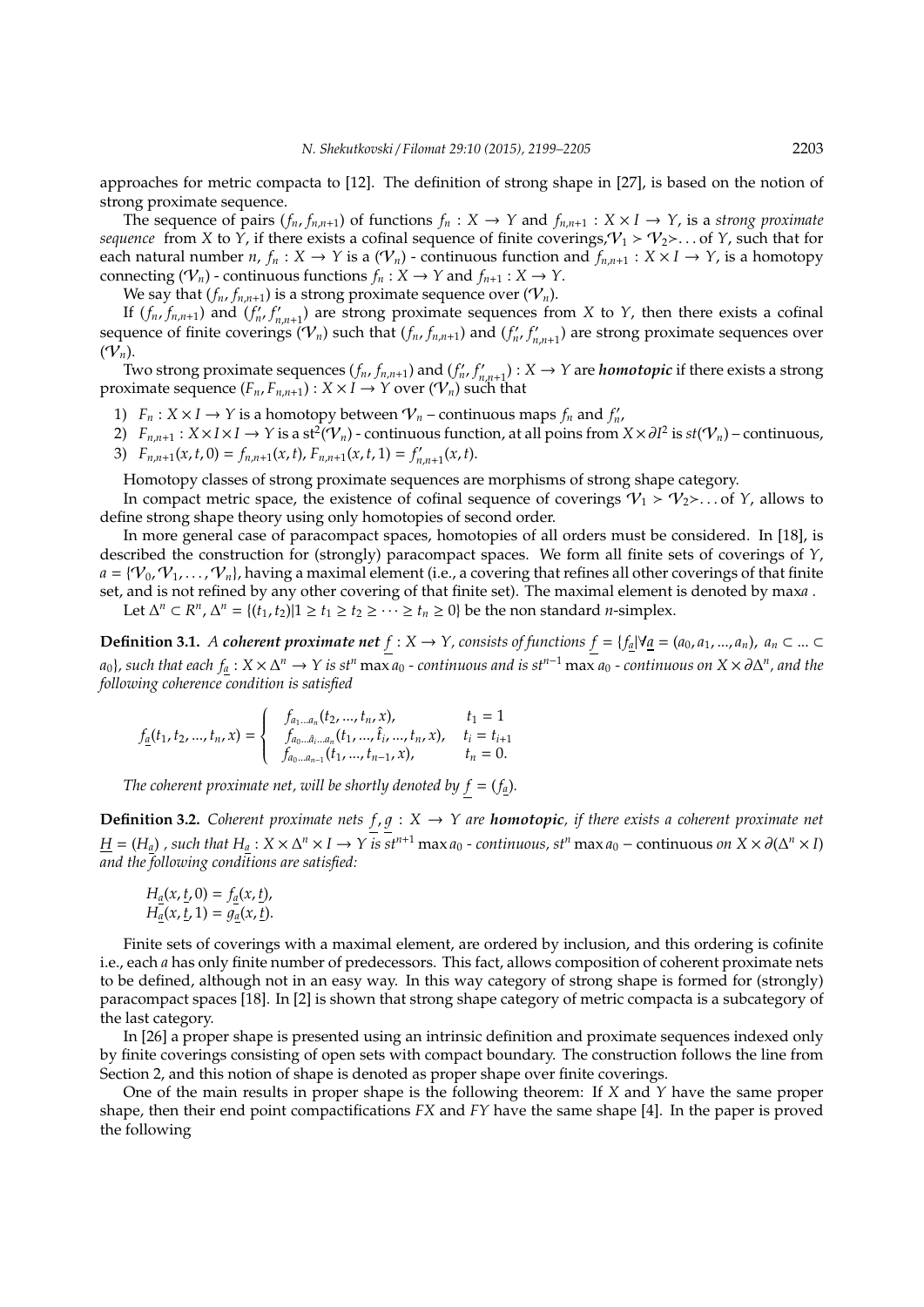approaches for metric compacta to [12]. The definition of strong shape in [27], is based on the notion of strong proximate sequence.

The sequence of pairs  $(f_n, f_{n,n+1})$  of functions  $f_n: X \to Y$  and  $f_{n,n+1}: X \times I \to Y$ , is a *strong proximate sequence* from *X* to *Y*, if there exists a cofinal sequence of finite coverings,  $V_1 > V_2$ ... of *Y*, such that for each natural number *n*,  $f_n : X \to Y$  is a  $(\mathcal{V}_n)$  - continuous function and  $f_{n,n+1} : X \times I \to Y$ , is a homotopy connecting ( $V_n$ ) - continuous functions  $f_n : X \to Y$  and  $f_{n+1} : X \to Y$ .

We say that  $(f_n, f_{n,n+1})$  is a strong proximate sequence over  $(\mathcal{V}_n)$ .

If  $(f_n, f_{n,n+1})$  and  $(f'_n, f'_n)$  $f'_{n,n+1}$ ) are strong proximate sequences from *X* to *Y*, then there exists a cofinal sequence of finite coverings  $(V_n)$  such that  $(f_n, f_{n,n+1})$  and  $(f'_n, f'_n)$  $\binom{n}{n,n+1}$  are strong proximate sequences over  $(V_n)$ .

Two strong proximate sequences  $(f_n, f_{n,n+1})$  and  $(f'_n, f'_n)$  $F'_{n,n+1}$ ):  $X \to Y$  are *homotopic* if there exists a strong proximate sequence  $(F_n, F_{n,n+1})$ :  $X \times I \rightarrow Y$  over  $(\mathcal{V}_n)$  such that

- 1)  $F_n: X \times I \to Y$  is a homotopy between  $\mathcal{V}_n$  continuous maps  $f_n$  and  $f'_n$ ,
- 2)  $F_{n,n+1}: X \times I \times I \to Y$  is a st<sup>2</sup>( $V_n$ ) continuous function, at all poins from  $X \times \partial I^2$  is  $st(V_n)$  continuous, 3)  $F_{n,n+1}(x,t,0) = f_{n,n+1}(x,t)$ ,  $F_{n,n+1}(x,t,1) = f'_n$  $\int_{n,n+1}^{t} (x, t)$ .

Homotopy classes of strong proximate sequences are morphisms of strong shape category.

In compact metric space, the existence of cofinal sequence of coverings  $\mathcal{V}_1 > \mathcal{V}_2$ ... of *Y*, allows to define strong shape theory using only homotopies of second order.

In more general case of paracompact spaces, homotopies of all orders must be considered. In [18], is described the construction for (strongly) paracompact spaces. We form all finite sets of coverings of *Y*,  $a = \{V_0, V_1, \ldots, V_n\}$ , having a maximal element (i.e., a covering that refines all other coverings of that finite set, and is not refined by any other covering of that finite set). The maximal element is denoted by max*a* .

Let  $\Delta^n \subset R^n$ ,  $\Delta^n = \{(t_1, t_2) | 1 \ge t_1 \ge t_2 \ge \cdots \ge t_n \ge 0\}$  be the non standard *n*-simplex.

**Definition 3.1.** *A coherent proximate net f* : *X* → *Y*, *consists of functions <i>f* = { $f_a$ |∀ $a$ <sub>*E*</sub> = ( $a_0, a_1, ..., a_n$ ),  $a_n$  ⊂ ... ⊂  $a_0$ *}, such that each*  $f_a: X \times \Delta^n \to Y$  *is st<sup>n</sup>* max  $a_0$  *- continuous and is st<sup>n–1</sup> max*  $a_0$  *- continuous on*  $X \times \partial \Delta^n$ *, and the following coherence condition is satisfied*

$$
f_{\underline{a}}(t_1, t_2, ..., t_n, x) = \begin{cases} f_{a_1...a_n}(t_2, ..., t_n, x), & t_1 = 1 \\ f_{a_0...a_i...a_n}(t_1, ..., \hat{t}_i, ..., t_n, x), & t_i = t_{i+1} \\ f_{a_0...a_{n-1}}(t_1, ..., t_{n-1}, x), & t_n = 0. \end{cases}
$$

*The coherent proximate net, will be shortly denoted by*  $f = (f_a)$ *.* 

**Definition 3.2.** *Coherent proximate nets*  $f, g: X \rightarrow Y$  *are homotopic, if there exists a coherent proximate net*  $\underline{H}=(H_{\underline{a}})$  , such that  $H_{\underline{a}}:X\times\Delta^n\times I\to Y$  is st<sup>n+1</sup> max  $a_0$  - continuous, st<sup>n</sup> max  $a_0$  – continuous on  $X\times\partial(\Delta^n\times I)$ *and the following conditions are satisfied:*

$$
H_{\underline{a}}(x, \underline{t}, 0) = f_{\underline{a}}(x, \underline{t}),
$$
  
\n
$$
H_{\underline{a}}(x, \underline{t}, 1) = g_{\underline{a}}(x, \underline{t}).
$$

Finite sets of coverings with a maximal element, are ordered by inclusion, and this ordering is cofinite i.e., each *a* has only finite number of predecessors. This fact, allows composition of coherent proximate nets to be defined, although not in an easy way. In this way category of strong shape is formed for (strongly) paracompact spaces [18]. In [2] is shown that strong shape category of metric compacta is a subcategory of the last category.

In [26] a proper shape is presented using an intrinsic definition and proximate sequences indexed only by finite coverings consisting of open sets with compact boundary. The construction follows the line from Section 2, and this notion of shape is denoted as proper shape over finite coverings.

One of the main results in proper shape is the following theorem: If *X* and *Y* have the same proper shape, then their end point compactifications *FX* and *FY* have the same shape [4]. In the paper is proved the following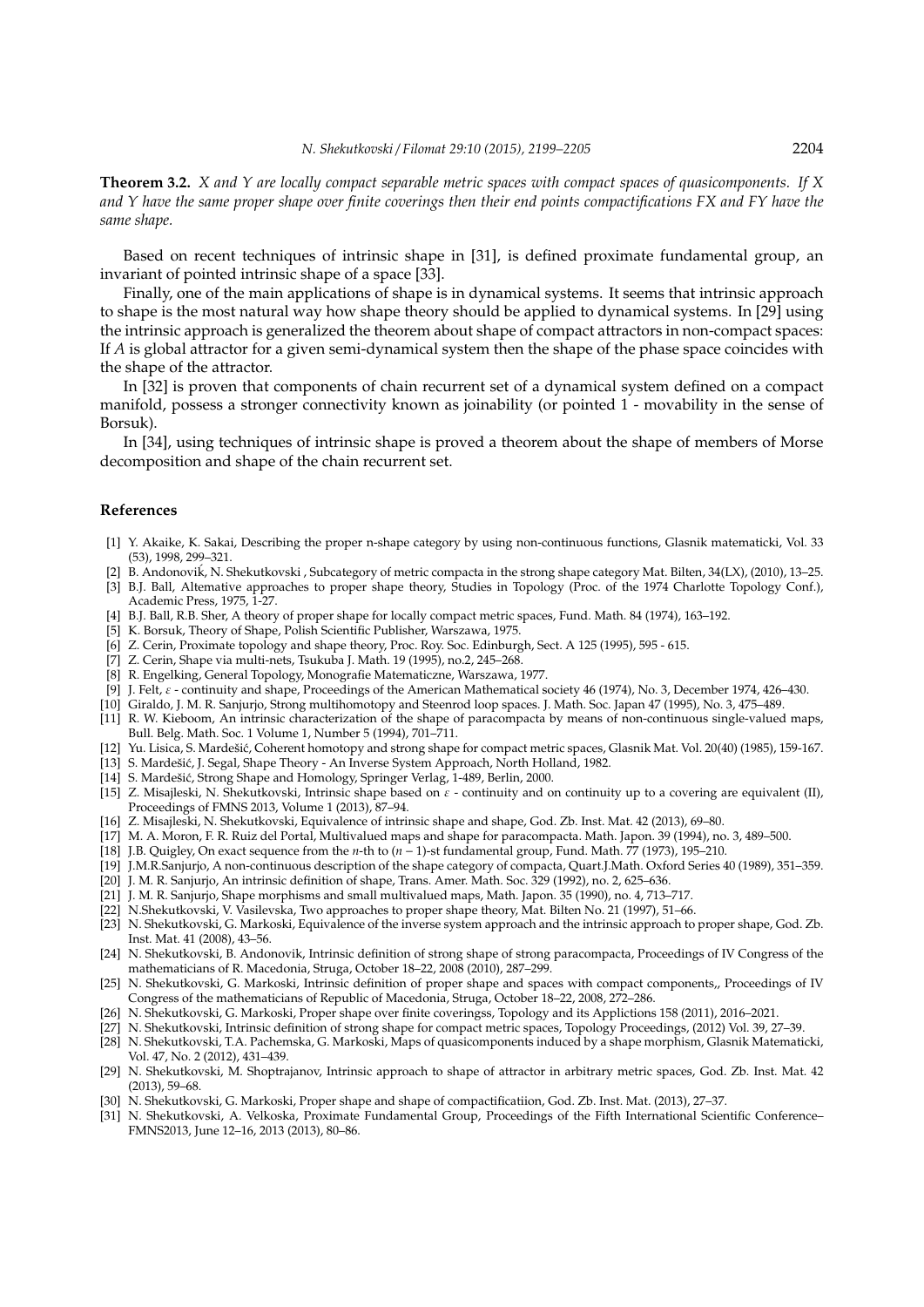**Theorem 3.2.** *X and Y are locally compact separable metric spaces with compact spaces of quasicomponents. If X and Y have the same proper shape over finite coverings then their end points compactifications FX and FY have the same shape.*

Based on recent techniques of intrinsic shape in [31], is defined proximate fundamental group, an invariant of pointed intrinsic shape of a space [33].

Finally, one of the main applications of shape is in dynamical systems. It seems that intrinsic approach to shape is the most natural way how shape theory should be applied to dynamical systems. In [29] using the intrinsic approach is generalized the theorem about shape of compact attractors in non-compact spaces: If *A* is global attractor for a given semi-dynamical system then the shape of the phase space coincides with the shape of the attractor.

In [32] is proven that components of chain recurrent set of a dynamical system defined on a compact manifold, possess a stronger connectivity known as joinability (or pointed 1 - movability in the sense of Borsuk).

In [34], using techniques of intrinsic shape is proved a theorem about the shape of members of Morse decomposition and shape of the chain recurrent set.

#### **References**

- [1] Y. Akaike, K. Sakai, Describing the proper n-shape category by using non-continuous functions, Glasnik matematicki, Vol. 33 (53), 1998, 299–321.
- [2] B. Andonovik, N. Shekutkovski , Subcategory of metric compacta in the strong shape category Mat. Bilten, 34(LX), (2010), 13–25. ´
- [3] B.J. Ball, Altemative approaches to proper shape theory, Studies in Topology (Proc. of the 1974 Charlotte Topology Conf.), Academic Press, 1975, 1-27.
- [4] B.J. Ball, R.B. Sher, A theory of proper shape for locally compact metric spaces, Fund. Math. 84 (1974), 163–192.
- [5] K. Borsuk, Theory of Shape, Polish Scientific Publisher, Warszawa, 1975.
- [6] Z. Cerin, Proximate topology and shape theory, Proc. Roy. Soc. Edinburgh, Sect. A 125 (1995), 595 615.
- [7] Z. Cerin, Shape via multi-nets, Tsukuba J. Math. 19 (1995), no.2, 245–268.
- [8] R. Engelking, General Topology, Monografie Matematiczne, Warszawa, 1977.
- [9] J. Felt, ε continuity and shape, Proceedings of the American Mathematical society 46 (1974), No. 3, December 1974, 426–430.
- [10] Giraldo, J. M. R. Sanjurjo, Strong multihomotopy and Steenrod loop spaces. J. Math. Soc. Japan 47 (1995), No. 3, 475–489.
- [11] R. W. Kieboom, An intrinsic characterization of the shape of paracompacta by means of non-continuous single-valued maps, Bull. Belg. Math. Soc. 1 Volume 1, Number 5 (1994), 701–711.
- [12] Yu. Lisica, S. Mardešić, Coherent homotopy and strong shape for compact metric spaces, Glasnik Mat. Vol. 20(40) (1985), 159-167.
- [13] S. Mardešić, J. Segal, Shape Theory An Inverse System Approach, North Holland, 1982.
- [14] S. Mardešić, Strong Shape and Homology, Springer Verlag, 1-489, Berlin, 2000.
- [15] Z. Misajleski, N. Shekutkovski, Intrinsic shape based on  $\varepsilon$  continuity and on continuity up to a covering are equivalent (II), Proceedings of FMNS 2013, Volume 1 (2013), 87–94.
- [16] Z. Misajleski, N. Shekutkovski, Equivalence of intrinsic shape and shape, God. Zb. Inst. Mat. 42 (2013), 69–80.
- [17] M. A. Moron, F. R. Ruiz del Portal, Multivalued maps and shape for paracompacta. Math. Japon. 39 (1994), no. 3, 489–500.
- [18] J.B. Quigley, On exact sequence from the *n*-th to (*n* − 1)-st fundamental group, Fund. Math. 77 (1973), 195–210.
- [19] J.M.R.Sanjurjo, A non-continuous description of the shape category of compacta, Quart.J.Math. Oxford Series 40 (1989), 351–359. [20] J. M. R. Sanjurjo, An intrinsic definition of shape, Trans. Amer. Math. Soc. 329 (1992), no. 2, 625–636.
- 
- [21] J. M. R. Sanjurjo, Shape morphisms and small multivalued maps, Math. Japon. 35 (1990), no. 4, 713–717.
- [22] N.Shekutkovski, V. Vasilevska, Two approaches to proper shape theory, Mat. Bilten No. 21 (1997), 51–66.
- [23] N. Shekutkovski, G. Markoski, Equivalence of the inverse system approach and the intrinsic approach to proper shape, God. Zb. Inst. Mat. 41 (2008), 43–56.
- [24] N. Shekutkovski, B. Andonovik, Intrinsic definition of strong shape of strong paracompacta, Proceedings of IV Congress of the mathematicians of R. Macedonia, Struga, October 18–22, 2008 (2010), 287–299.
- [25] N. Shekutkovski, G. Markoski, Intrinsic definition of proper shape and spaces with compact components,, Proceedings of IV Congress of the mathematicians of Republic of Macedonia, Struga, October 18–22, 2008, 272–286.
- [26] N. Shekutkovski, G. Markoski, Proper shape over finite coveringss, Topology and its Applictions 158 (2011), 2016–2021.
- [27] N. Shekutkovski, Intrinsic definition of strong shape for compact metric spaces, Topology Proceedings, (2012) Vol. 39, 27–39.
- [28] N. Shekutkovski, T.A. Pachemska, G. Markoski, Maps of quasicomponents induced by a shape morphism, Glasnik Matematicki, Vol. 47, No. 2 (2012), 431–439.
- [29] N. Shekutkovski, M. Shoptrajanov, Intrinsic approach to shape of attractor in arbitrary metric spaces, God. Zb. Inst. Mat. 42 (2013), 59–68.
- [30] N. Shekutkovski, G. Markoski, Proper shape and shape of compactificatiion, God. Zb. Inst. Mat. (2013), 27–37.
- [31] N. Shekutkovski, A. Velkoska, Proximate Fundamental Group, Proceedings of the Fifth International Scientific Conference– FMNS2013, June 12–16, 2013 (2013), 80–86.